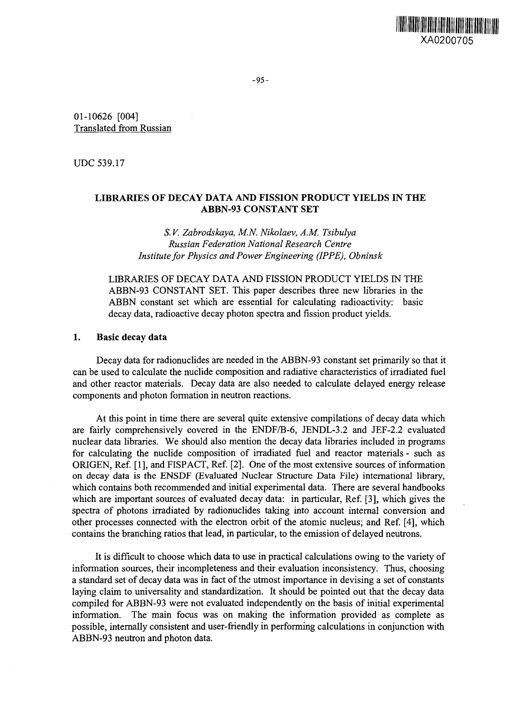

01-10626 [004] Translated from Russian

UDC 539.17

## **LIBRARIES OF DECAY DATA AND FISSION PRODUCT YIELDS IN THE ABBN-93 CONSTANT SET**

*S. V. Zabrodskaya, M.N. Nikolaev, A.M. Tsibulya Russian Federation National Research Centre Institute for Physics and Power Engineering (IPPE), Obninsk*

LIBRARIES OF DECAY DATA AND FISSION PRODUCT YIELDS IN THE ABBN-93 CONSTANT SET. This paper describes three new libraries in the ABBN constant set which are essential for calculating radioactivity: basic decay data, radioactive decay photon spectra and fission product yields.

### **1. Basic decay data**

Decay data for radionuclides are needed in the ABBN-93 constant set primarily so that it can be used to calculate the nuclide composition and radiative characteristics of irradiated fuel and other reactor materials. Decay data are also needed to calculate delayed energy release components and photon formation in neutron reactions.

At this point in time there are several quite extensive compilations of decay data which are fairly comprehensively covered in the ENDF/B-6, JENDL-3.2 and JEF-2.2 evaluated nuclear data libraries. We should also mention the decay data libraries included in programs for calculating the nuclide composition of irradiated fuel and reactor materials - such as ORIGEN, Ref. [1], and FISPACT, Ref. [2]. One of the most extensive sources of information on decay data is the ENSDF (Evaluated Nuclear Structure Data File) international library, which contains both recommended and initial experimental data. There are several handbooks which are important sources of evaluated decay data: in particular, Ref. [3], which gives the spectra of photons irradiated by radionuclides taking into account internal conversion and other processes connected with the electron orbit of the atomic nucleus; and Ref. [4], which contains the branching ratios that lead, in particular, to the emission of delayed neutrons.

It is difficult to choose which data to use in practical calculations owing to the variety of information sources, their incompleteness and their evaluation inconsistency. Thus, choosing a standard set of decay data was in fact of the utmost importance in devising a set of constants laying claim to universality and standardization. It should be pointed out that the decay data compiled for ABBN-93 were not evaluated independently on the basis of initial experimental information. The main focus was on making the information provided as complete as possible, internally consistent and user-friendly in performing calculations in conjunction with ABBN-93 neutron and photon data.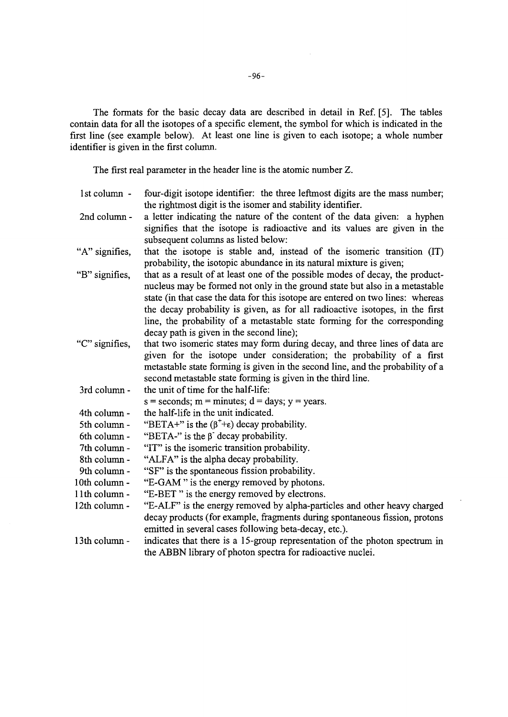The formats for the basic decay data are described in detail in Ref. [5]. The tables contain data for all the isotopes of a specific element, the symbol for which is indicated in the first line (see example below). At least one line is given to each isotope; a whole number identifier is given in the first column.

The first real parameter in the header line is the atomic number Z.

- 1st column four-digit isotope identifier: the three leftmost digits are the mass number; the rightmost digit is the isomer and stability identifier,
- 2nd column a letter indicating the nature of the content of the data given: a hyphen signifies that the isotope is radioactive and its values are given in the subsequent columns as listed below:
- "A" signifies, that the isotope is stable and, instead of the isomeric transition (IT) probability, the isotopic abundance in its natural mixture is given;
- "B" signifies, that as a result of at least one of the possible modes of decay, the productnucleus may be formed not only in the ground state but also in a metastable state (in that case the data for this isotope are entered on two lines: whereas the decay probability is given, as for all radioactive isotopes, in the first line, the probability of a metastable state forming for the corresponding decay path is given in the second line);
- ; 'C" signifies, that two isomeric states may form during decay, and three lines of data are given for the isotope under consideration; the probability of a first metastable state forming is given in the second line, and the probability of a second metastable state forming is given in the third line,
- 3rd column the unit of time for the half-life:  $s =$  seconds;  $m =$  minutes;  $d =$  days;  $v =$  years.
- 4th column the half-life in the unit indicated.
- 5th column "BETA+" is the  $(\beta^+ + \epsilon)$  decay probability.
- 6th column "BETA-" is the  $\beta$  decay probability.
- 7th column "IT" is the isomeric transition probability.
- 8th column "ALFA" is the alpha decay probability.
- 9th column "SF" is the spontaneous fission probability.
- 10th column-"E-GAM " is the energy removed by photons.
- 1 lth column "E-BET " is the energy removed by electrons.
- 12th column "E-ALF" is the energy removed by alpha-particles and other heavy charged decay products (for example, fragments during spontaneous fission, protons emitted in several cases following beta-decay, etc.).
- 13th columnindicates that there is a 15-group representation of the photon spectrum in the ABBN library of photon spectra for radioactive nuclei.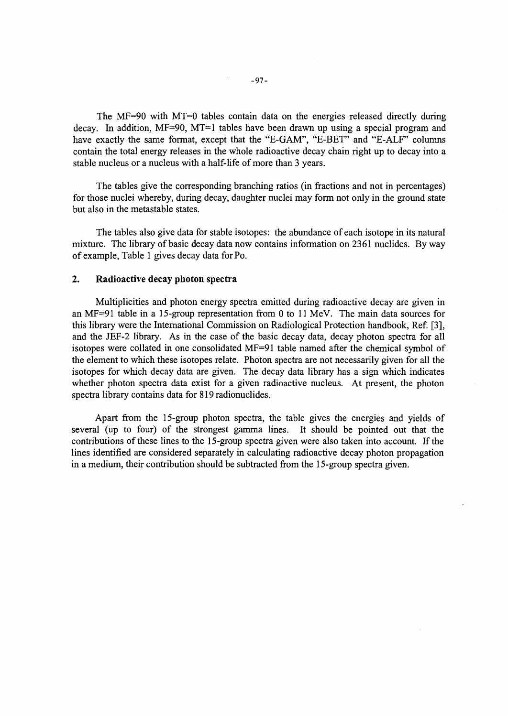The MF=90 with MT=O tables contain data on the energies released directly during decay. In addition, MF=90, MT=1 tables have been drawn up using a special program and have exactly the same format, except that the "E-GAM", "E-BET" and "E-ALF" columns contain the total energy releases in the whole radioactive decay chain right up to decay into a stable nucleus or a nucleus with a half-life of more than 3 years.

The tables give the corresponding branching ratios (in fractions and not in percentages) for those nuclei whereby, during decay, daughter nuclei may form not only in the ground state but also in the metastable states.

The tables also give data for stable isotopes: the abundance of each isotope in its natural mixture. The library of basic decay data now contains information on 2361 nuclides. By way of example, Table 1 gives decay data forPo.

### **2. Radioactive decay photon spectra**

Multiplicities and photon energy spectra emitted during radioactive decay are given in an MF=91 table in a 15-group representation from 0 to 11 MeV. The main data sources for this library were the International Commission on Radiological Protection handbook, Ref. [3], and the JEF-2 library. As in the case of the basic decay data, decay photon spectra for all isotopes were collated in one consolidated MF=91 table named after the chemical symbol of the element to which these isotopes relate. Photon spectra are not necessarily given for all the isotopes for which decay data are given. The decay data library has a sign which indicates whether photon spectra data exist for a given radioactive nucleus. At present, the photon spectra library contains data for 819 radionuclides.

Apart from the 15-group photon spectra, the table gives the energies and yields of several (up to four) of the strongest gamma lines. It should be pointed out that the contributions of these lines to the 15-group spectra given were also taken into account. If the lines identified are considered separately in calculating radioactive decay photon propagation in a medium, their contribution should be subtracted from the 15-group spectra given.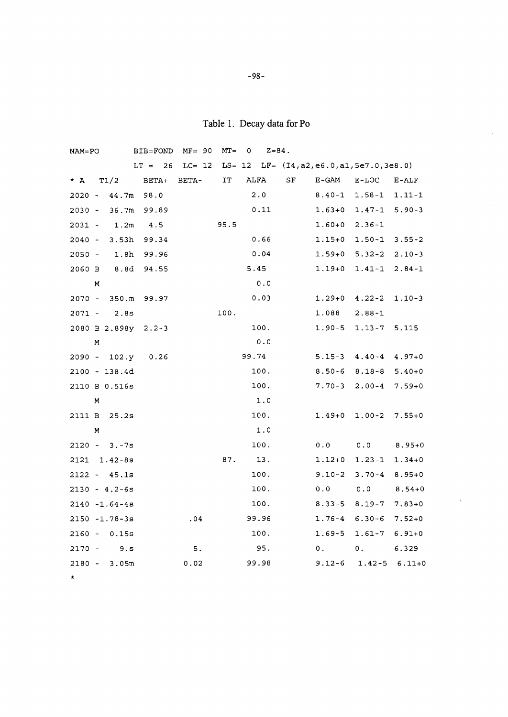Table 1. Decay data for Po

 $\bar{\bar{z}}$ 

| $NAM=PO$ |   |                        | BIB=FOND  | $MF = 90$ | $MT =$ | 0     | $Z = 84$ . |    |                                                   |                          |            |
|----------|---|------------------------|-----------|-----------|--------|-------|------------|----|---------------------------------------------------|--------------------------|------------|
|          |   |                        | $LT = 26$ | $LC = 12$ |        |       |            |    | $LS = 12$ $LF = (I4, a2, e6.0, a1, 5e7.0, 3e8.0)$ |                          |            |
| * A      |   | T1/2                   | $BETA+$   | BETA-     | IT     |       | ALFA       | SF | E-GAM                                             | E-LOC                    | $E-ALF$    |
| $2020 -$ |   | 44.7m                  | 98.0      |           |        |       | 2.0        |    | $8.40 - 1$                                        | $1.58 - 1$               | $1.11 - 1$ |
| $2030 -$ |   | 36.7m                  | 99.89     |           |        |       | 0.11       |    | $1.63 + 0$                                        | $1.47 - 1$               | $5.90 - 3$ |
| $2031 -$ |   | 1.2m                   | 4.5       |           | 95.5   |       |            |    | $1.60 + 0$                                        | $2.36 - 1$               |            |
| $2040 -$ |   | 3.53h                  | 99.34     |           |        |       | 0.66       |    | $1.15 + 0$                                        | $1.50 - 1$               | $3.55 - 2$ |
| $2050 -$ |   | 1.8h                   | 99.96     |           |        |       | 0.04       |    | $1.59 + 0$                                        | $5.32 - 2$               | $2.10 - 3$ |
| 2060 B   |   | 8.8d                   | 94.55     |           |        |       | 5.45       |    | 1.19+0                                            | $1.41 - 1$               | $2.84 - 1$ |
|          | М |                        |           |           |        |       | 0.0        |    |                                                   |                          |            |
|          |   | 2070 - 350.m           | 99.97     |           |        |       | 0.03       |    | $1.29 + 0$                                        | $4.22 - 2$               | $1.10-3$   |
|          |   | $2071 - 2.8s$          |           |           | 100.   |       |            |    | 1.088                                             | $2.88 - 1$               |            |
|          |   | 2080 B 2.898y 2.2-3    |           |           |        |       | 100.       |    | $1.90 - 5$                                        | $1.13 - 7$               | 5.115      |
|          | М |                        |           |           |        |       | 0.0        |    |                                                   |                          |            |
|          |   | 2090 - 102.y           | 0.26      |           |        | 99.74 |            |    | $5.15 - 3$                                        | $4.40 - 4$               | $4.97 + 0$ |
|          |   | 2100 - 138.4d          |           |           |        |       | 100.       |    | $8.50 - 6$                                        | $8.18 - 8$               | $5.40+0$   |
|          |   | 2110 B 0.516s          |           |           |        |       | 100.       |    | $7.70 - 3$                                        | $2.00 - 4$               | $7.59 + 0$ |
|          | М |                        |           |           |        |       | 1.0        |    |                                                   |                          |            |
| 2111 B   |   | 25.2s                  |           |           |        |       | 100.       |    | $1.49 + 0$                                        | $1.00 - 2$               | $7.55 + 0$ |
|          | м |                        |           |           |        |       | 1.0        |    |                                                   |                          |            |
|          |   | $2120 - 3. -7s$        |           |           |        |       | 100.       |    | 0.0                                               | 0.0                      | $8.95 + 0$ |
|          |   | $2121 \quad 1.42 - 8s$ |           |           | 87.    |       | 13.        |    | $1.12 + 0$                                        | $1.23 - 1$               | $1.34 + 0$ |
|          |   | $2122 - 45.1s$         |           |           |        |       | 100.       |    | $9.10 - 2$                                        | $3.70 - 4$               | $8.95 + 0$ |
|          |   | $2130 - 4.2 - 6s$      |           |           |        |       | 100.       |    | 0.0                                               | 0.0                      | $8.54 + 0$ |
|          |   | $2140 - 1.64 - 4s$     |           |           |        |       | 100.       |    | $8.33 - 5$                                        | $8.19 - 7$               | $7.83 + 0$ |
|          |   | $2150 - 1.78 - 3s$     |           | .04       |        |       | 99.96      |    | 1.76-4                                            | $6.30 - 6$               | $7.52 + 0$ |
|          |   | $2160 - 0.15s$         |           |           |        |       | 100.       |    | $1.69 - 5$                                        | $1.61 - 7$               | $6.91 + 0$ |
| 2170 -   |   | 9. S                   |           | 5.        |        |       | 95.        |    | 0.1                                               | 0.                       | 6.329      |
|          |   | $2180 - 3.05m$         |           | 0.02      |        |       | 99.98      |    |                                                   | $9.12 - 6$ 1.42-5 6.11+0 |            |
| *        |   |                        |           |           |        |       |            |    |                                                   |                          |            |

**-98-**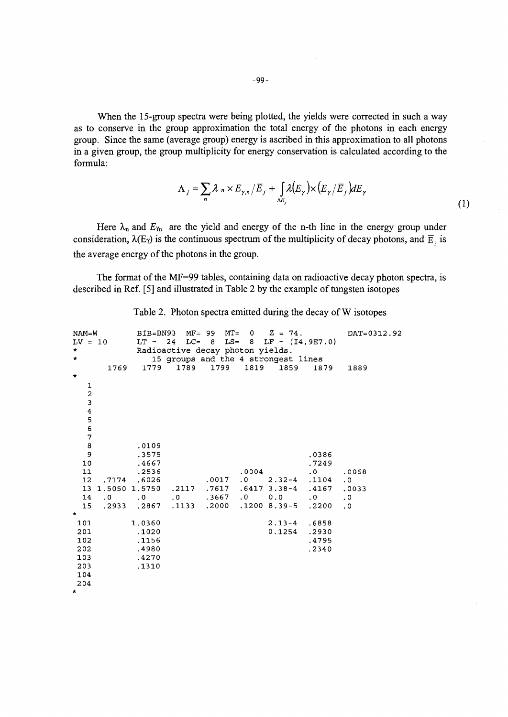When the 15-group spectra were being plotted, the yields were corrected in such a way as to conserve in the group approximation the total energy of the photons in each energy group. Since the same (average group) energy is ascribed in this approximation to all photons in a given group, the group multiplicity for energy conservation is calculated according to the formula:

$$
\Lambda_j = \sum_n \lambda_n \times E_{\gamma,n} / E_j + \int_{\Delta E_j} \lambda(E_\gamma) \times (E_\gamma / \overline{E}_j) dE_\gamma
$$
\n(1)

Here  $\lambda_n$  and  $E_{\gamma_n}$  are the yield and energy of the n-th line in the energy group under consideration,  $\lambda(E_{\gamma})$  is the continuous spectrum of the multiplicity of decay photons, and  $\overline{E}_i$  is the average energy of the photons in the group.

The format of the MF=99 tables, containing data on radioactive decay photon spectra, is described in Ref. [5] and illustrated in Table 2 by the example of tungsten isotopes

| NAM=W        |      |                                                                                                                                                     |                                  |       | BIB=BN93 MF= 99 MT= $0$ Z = 74.        |                  | DAT=0312.92 |
|--------------|------|-----------------------------------------------------------------------------------------------------------------------------------------------------|----------------------------------|-------|----------------------------------------|------------------|-------------|
| $LV = 10$    |      |                                                                                                                                                     |                                  |       | LT = 24 LC= 8 LS= 8 LF = $(14, 9E7.0)$ |                  |             |
| $\star$      |      |                                                                                                                                                     | Radioactive decay photon yields. |       |                                        |                  |             |
| $\star$      |      |                                                                                                                                                     |                                  |       | 15 groups and the 4 strongest lines    |                  |             |
|              | 1769 |                                                                                                                                                     |                                  |       | 1779 1789 1799 1819 1859               | 1879             | 1889        |
| $\mathbf{r}$ |      |                                                                                                                                                     |                                  |       |                                        |                  |             |
|              |      |                                                                                                                                                     |                                  |       |                                        |                  |             |
| 1234567      |      |                                                                                                                                                     |                                  |       |                                        |                  |             |
|              |      |                                                                                                                                                     |                                  |       |                                        |                  |             |
|              |      |                                                                                                                                                     |                                  |       |                                        |                  |             |
|              |      |                                                                                                                                                     |                                  |       |                                        |                  |             |
|              |      |                                                                                                                                                     |                                  |       |                                        |                  |             |
|              |      |                                                                                                                                                     |                                  |       |                                        |                  |             |
| 8            |      | .0109                                                                                                                                               |                                  |       |                                        |                  |             |
| 9            |      | .3575                                                                                                                                               |                                  |       |                                        | .0386            |             |
| 10           |      | .4667                                                                                                                                               |                                  |       |                                        | .7249            |             |
| 11           |      | .2536                                                                                                                                               |                                  | .0004 |                                        | $\cdot$ 0        | .0068       |
| 12           |      | .7174 .6026                                                                                                                                         | .0017                            |       | $.0 \qquad 2.32 - 4$                   | .1104            | $\cdot$ 0   |
| 13           |      | 1.5050 1.5750                                                                                                                                       | .2117 .7617                      |       | .6417 3.38-4                           | .4167            | .0033       |
| 14<br>15     |      | $\begin{matrix} .0&\quad 0&\quad 0&\quad \  \end{matrix}$ .0 $\begin{matrix} .3667&\quad 0&\quad 0.0&\quad \end{matrix}$<br>.2933 .2867 .1133 .2000 |                                  |       | .1200 8.39-5                           | $\cdot$ 0 $\sim$ | $\cdot$ 0   |
| $\star$      |      |                                                                                                                                                     |                                  |       |                                        | .2200            | $\cdot$ 0   |
| 101          |      | 1.0360                                                                                                                                              |                                  |       | $2.13 - 4$                             | .6858            |             |
| 201          |      | .1020                                                                                                                                               |                                  |       | 0.1254                                 | .2930            |             |
| 102          |      | .1156                                                                                                                                               |                                  |       |                                        | .4795            |             |
| 202          |      | .4980                                                                                                                                               |                                  |       |                                        | .2340            |             |
| 103          |      | .4270                                                                                                                                               |                                  |       |                                        |                  |             |
| 203          |      | .1310                                                                                                                                               |                                  |       |                                        |                  |             |
| 104          |      |                                                                                                                                                     |                                  |       |                                        |                  |             |
| 204          |      |                                                                                                                                                     |                                  |       |                                        |                  |             |
| $\star$ .    |      |                                                                                                                                                     |                                  |       |                                        |                  |             |

Table 2. Photon spectra emitted during the decay of W isotopes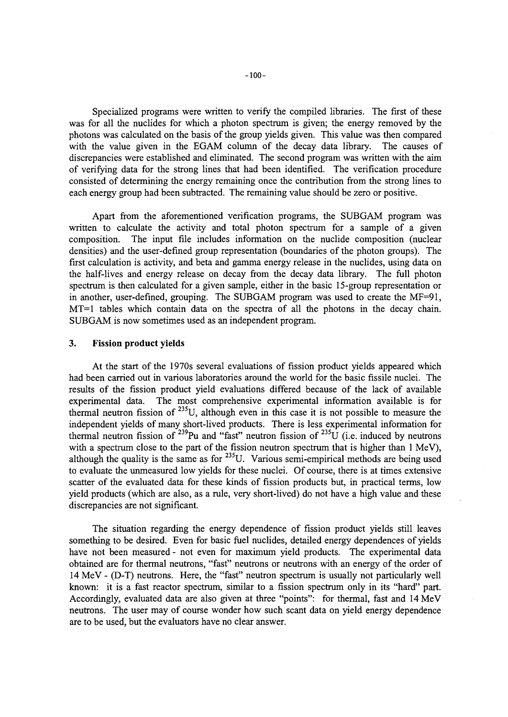Specialized programs were written to verify the compiled libraries. The first of these was for all the nuclides for which a photon spectrum is given; the energy removed by the photons was calculated on the basis of the group yields given. This value was then compared with the value given in the EGAM column of the decay data library. The causes of discrepancies were established and eliminated. The second program was written with the aim of verifying data for the strong lines that had been identified. The verification procedure consisted of determining the energy remaining once the contribution from the strong lines to each energy group had been subtracted. The remaining value should be zero or positive.

Apart from the aforementioned verification programs, the SUBGAM program was written to calculate the activity and total photon spectrum for a sample of a given composition. The input file includes information on the nuclide composition (nuclear densities) and the user-defined group representation (boundaries of the photon groups). The first calculation is activity, and beta and gamma energy release in the nuclides, using data on the half-lives and energy release on decay from the decay data library. The full photon spectrum is then calculated for a given sample, either in the basic 15-group representation or in another, user-defined, grouping. The SUBGAM program was used to create the MF=91, MT=1 tables which contain data on the spectra of all the photons in the decay chain. SUBGAM is now sometimes used as an independent program.

### **3. Fission product yields**

At the start of the 1970s several evaluations of fission product yields appeared which had been carried out in various laboratories around the world for the basic fissile nuclei. The results of the fission product yield evaluations differed because of the lack of available experimental data. The most comprehensive experimental information available is for thermal neutron fission of  $^{235}$ U, although even in this case it is not possible to measure the independent yields of many short-lived products. There is less experimental information for thermal neutron fission of <sup>239</sup>Pu and "fast" neutron fission of <sup>235</sup>U (i.e. induced by neutrons with a spectrum close to the part of the fission neutron spectrum that is higher than 1 MeV). although the quality is the same as for  $^{235}$ U. Various semi-empirical methods are being used to evaluate the unmeasured low yields for these nuclei. Of course, there is at times extensive scatter of the evaluated data for these kinds of fission products but, in practical terms, low yield products (which are also, as a rule, very short-lived) do not have a high value and these discrepancies are not significant.

The situation regarding the energy dependence of fission product yields still leaves something to be desired. Even for basic fuel nuclides, detailed energy dependences of yields have not been measured - not even for maximum yield products. The experimental data obtained are for thermal neutrons, "fast" neutrons or neutrons with an energy of the order of 14 MeV - (D-T) neutrons. Here, the "fast" neutron spectrum is usually not particularly well known: it is a fast reactor spectrum, similar to a fission spectrum only in its "hard" part. Accordingly, evaluated data are also given at three "points": for thermal, fast and 14 MeV neutrons. The user may of course wonder how such scant data on yield energy dependence are to be used, but the evaluators have no clear answer.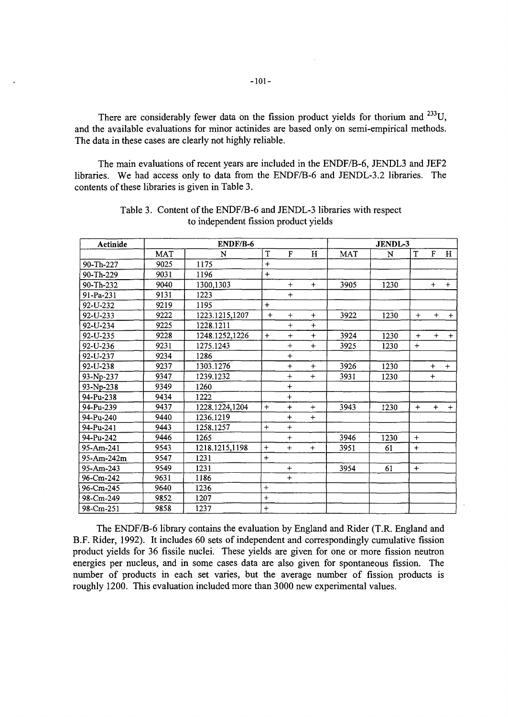There are considerably fewer data on the fission product yields for thorium and  $^{233}$ U, and the available evaluations for minor actinides are based only on semi-empirical methods. The data in these cases are clearly not highly reliable.

The main evaluations of recent years are included in the ENDF/B-6, JENDL3 and JEF2 libraries. We had access only to data from the ENDF/B-6 and JENDL-3.2 libraries. The contents of these libraries is given in Table 3.

| Actinide   |      | ENDF/B-6       | JENDL-3   |              |           |            |      |     |              |     |
|------------|------|----------------|-----------|--------------|-----------|------------|------|-----|--------------|-----|
|            | MAT  | N              | T         | $\mathbf{F}$ | H         | <b>MAT</b> | N    | T   | $\mathbf{F}$ | H   |
| 90-Th-227  | 9025 | 1175           | $+$       |              |           |            |      |     |              |     |
| 90-Th-229  | 9031 | 1196           | $+$       |              |           |            |      |     |              |     |
| 90-Th-232  | 9040 | 1300,1303      |           | $+$          | $+$       | 3905       | 1230 |     | $+$          | $+$ |
| 91-Pa-231  | 9131 | 1223           |           | $+$          |           |            |      |     |              |     |
| 92-U-232   | 9219 | 1195           | $+$       |              |           |            |      |     |              |     |
| 92-U-233   | 9222 | 1223.1215,1207 | $+$       | $+$          | $+$       | 3922       | 1230 | $+$ | $+$          | $+$ |
| 92-U-234   | 9225 | 1228.1211      |           | $+$          | $\ddot{}$ |            |      |     |              |     |
| 92-U-235   | 9228 | 1248.1252,1226 | $+$       | $+$          | $+$       | 3924       | 1230 | $+$ | $+$          | $+$ |
| 92-U-236   | 9231 | 1275.1243      |           | $+$          | $+$       | 3925       | 1230 | $+$ |              |     |
| 92-U-237   | 9234 | 1286           |           | $+$          |           |            |      |     |              |     |
| 92-U-238   | 9237 | 1303.1276      |           | $+$          | $+$       | 3926       | 1230 |     | $+$          | $+$ |
| 93-Np-237  | 9347 | 1239.1232      |           | $+$          | $+$       | 3931       | 1230 |     | $\ddot{}$    |     |
| 93-Np-238  | 9349 | 1260           |           | $+$          |           |            |      |     |              |     |
| 94-Pu-238  | 9434 | 1222           |           | $\ddot{}$    |           |            |      |     |              |     |
| 94-Pu-239  | 9437 | 1228.1224,1204 | $+$       | $\ddot{}$    | $+$       | 3943       | 1230 | $+$ | $+$          | $+$ |
| 94-Pu-240  | 9440 | 1236.1219      |           | $\ddot{}$    | $+$       |            |      |     |              |     |
| 94-Pu-241  | 9443 | 1258.1257      | $+$       | $+$          |           |            |      |     |              |     |
| 94-Pu-242  | 9446 | 1265           |           | $+$          |           | 3946       | 1230 | $+$ |              |     |
| 95-Am-241  | 9543 | 1218.1215,1198 | $\ddot{}$ | $+$          | $+$       | 3951       | 61   | $+$ |              |     |
| 95-Am-242m | 9547 | 1231           | $+$       |              |           |            |      |     |              |     |
| 95-Am-243  | 9549 | 1231           |           | $+$          |           | 3954       | 61   | $+$ |              |     |
| 96-Cm-242  | 9631 | 1186           |           | $+$          |           |            |      |     |              |     |
| 96-Cm-245  | 9640 | 1236           | $+$       |              |           |            |      |     |              |     |
| 98-Cm-249  | 9852 | 1207           | $+$       |              |           |            |      |     |              |     |
| 98-Cm-251  | 9858 | 1237           | $+$       |              |           |            |      |     |              |     |

Table 3. Content of the ENDF/B-6 and JENDL-3 libraries with respect to independent fission product yields

The ENDF/B-6 library contains the evaluation by England and Rider (T.R. England and B.F. Rider, 1992). It includes 60 sets of independent and correspondingly cumulative fission product yields for 36 fissile nuclei. These yields are given for one or more fission neutron energies per nucleus, and in some cases data are also given for spontaneous fission. The number of products in each set varies, but the average number of fission products is roughly 1200. This evaluation included more than 3000 new experimental values.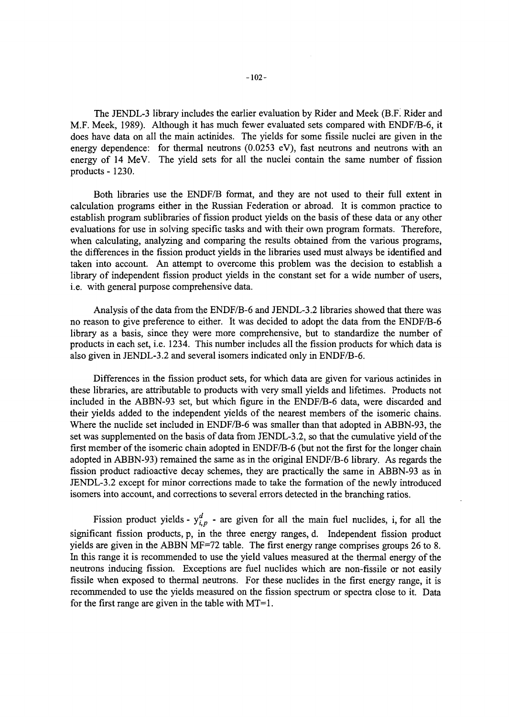The JENDL-3 library includes the earlier evaluation by Rider and Meek (B.F. Rider and M.F. Meek, 1989). Although it has much fewer evaluated sets compared with ENDF/B-6, it does have data on all the main actinides. The yields for some fissile nuclei are given in the energy dependence: for thermal neutrons (0.0253 eV), fast neutrons and neutrons with an energy of 14 MeV. The yield sets for all the nuclei contain the same number of fission products - 1230.

Both libraries use the ENDF/B format, and they are not used to their full extent in calculation programs either in the Russian Federation or abroad. It is common practice to establish program sublibraries of fission product yields on the basis of these data or any other evaluations for use in solving specific tasks and with their own program formats. Therefore, when calculating, analyzing and comparing the results obtained from the various programs, the differences in the fission product yields in the libraries used must always be identified and taken into account. An attempt to overcome this problem was the decision to establish a library of independent fission product yields in the constant set for a wide number of users, i.e. with general purpose comprehensive data.

Analysis of the data from the ENDF/B-6 and JENDL-3.2 libraries showed that there was no reason to give preference to either. It was decided to adopt the data from the ENDF/B-6 library as a basis, since they were more comprehensive, but to standardize the number of products in each set, i.e. 1234. This number includes all the fission products for which data is also given in JENDL-3.2 and several isomers indicated only in ENDF/B-6.

Differences in the fission product sets, for which data are given for various actinides in these libraries, are attributable to products with very small yields and lifetimes. Products not included in the ABBN-93 set, but which figure in the ENDF/B-6 data, were discarded and their yields added to the independent yields of the nearest members of the isomeric chains. Where the nuclide set included in ENDF/B-6 was smaller than that adopted in ABBN-93, the set was supplemented on the basis of data from JENDL-3.2, so that the cumulative yield of the first member of the isomeric chain adopted in ENDF/B-6 (but not the first for the longer chain adopted in ABBN-93) remained the same as in the original ENDF/B-6 library. As regards the fission product radioactive decay schemes, they are practically the same in ABBN-93 as in JENDL-3.2 except for minor corrections made to take the formation of the newly introduced isomers into account, and corrections to several errors detected in the branching ratios.

Fission product yields -  $y_{i,p}^d$  - are given for all the main fuel nuclides, i, for all the significant fission products, p, in the three energy ranges, d. Independent fission product yields are given in the ABBN MF=72 table. The first energy range comprises groups 26 to 8. In this range it is recommended to use the yield values measured at the thermal energy of the neutrons inducing fission. Exceptions are fuel nuclides which are non-fissile or not easily fissile when exposed to thermal neutrons. For these nuclides in the first energy range, it is recommended to use the yields measured on the fission spectrum or spectra close to it. Data for the first range are given in the table with  $MT=1$ .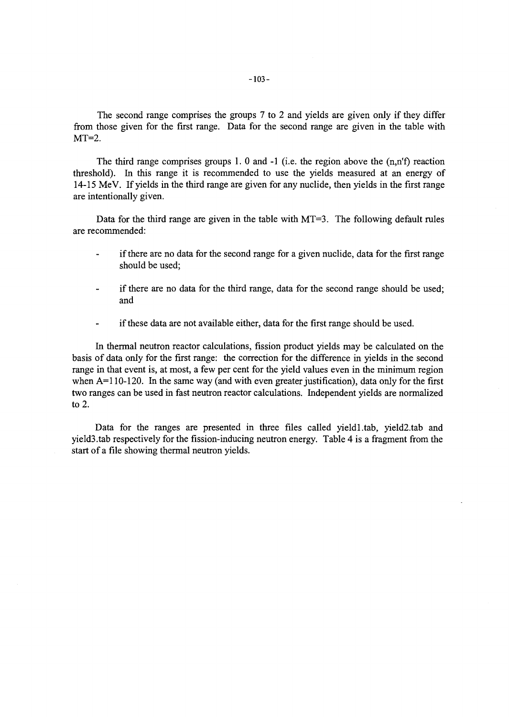The second range comprises the groups 7 to 2 and yields are given only if they differ from those given for the first range. Data for the second range are given in the table with  $MT=2$ .

The third range comprises groups 1. 0 and -1 (i.e. the region above the (n,n'f) reaction threshold). In this range it is recommended to use the yields measured at an energy of 14-15 MeV. If yields in the third range are given for any nuclide, then yields in the first range are intentionally given.

Data for the third range are given in the table with  $MT=3$ . The following default rules are recommended:

- if there are no data for the second range for a given nuclide, data for the first range should be used;
- if there are no data for the third range, data for the second range should be used;  $\overline{a}$ and
- if these data are not available either, data for the first range should be used.

In thermal neutron reactor calculations, fission product yields may be calculated on the basis of data only for the first range: the correction for the difference in yields in the second range in that event is, at most, a few per cent for the yield values even in the minimum region when A=110-120. In the same way (and with even greater justification), data only for the first two ranges can be used in fast neutron reactor calculations. Independent yields are normalized to 2.

Data for the ranges are presented in three files called yield1.tab, yield2.tab and yield3.tab respectively for the fission-inducing neutron energy. Table 4 is a fragment from the start of a file showing thermal neutron yields.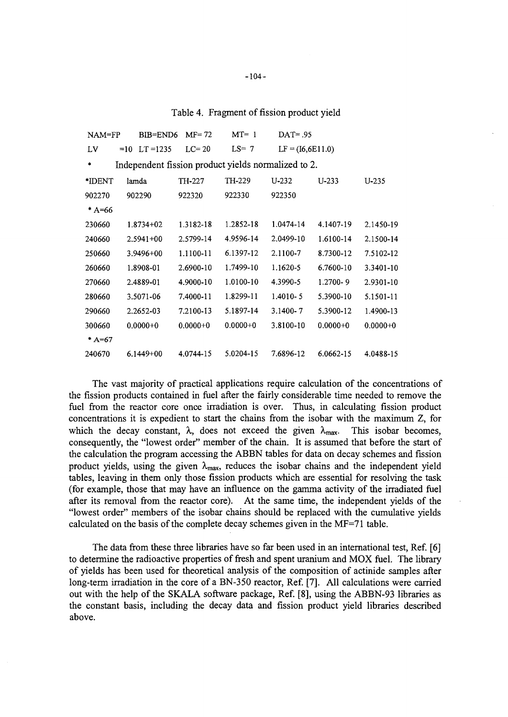Table 4. Fragment of fission product yield

| $NAM = FP$ | BIB=END6                                            | $MF = 72$    | $MT=1$       | $DATA = .95$       |              |              |
|------------|-----------------------------------------------------|--------------|--------------|--------------------|--------------|--------------|
| LV         | $=10$<br>$LT = 1235$                                | $LC=20$      | $LS = 7$     | $LF = (I6,6E11.0)$ |              |              |
| ٠          | Independent fission product yields normalized to 2. |              |              |                    |              |              |
| *IDENT     | lamda                                               | TH-227       | TH-229       | $U - 232$          | $U - 233$    | $U-235$      |
| 902270     | 902290                                              | 922320       | 922330       | 922350             |              |              |
| $*$ A=66   |                                                     |              |              |                    |              |              |
| 230660     | $1.8734 + 02$                                       | 1.3182-18    | 1.2852-18    | 1.0474-14          | 4.1407-19    | 2.1450-19    |
| 240660     | $2.5941 + 00$                                       | 2.5799-14    | 4.9596-14    | 2.0499-10          | 1.6100-14    | 2.1500-14    |
| 250660     | $3.9496 + 00$                                       | 1.1100-11    | 6.1397-12    | 2.1100-7           | 8.7300-12    | 7.5102-12    |
| 260660     | 1.8908-01                                           | 2.6900-10    | 1.7499-10    | 1.1620-5           | 6.7600-10    | 3.3401-10    |
| 270660     | 2.4889-01                                           | 4.9000-10    | 1.0100-10    | 4.3990-5           | $1.2700 - 9$ | 2.9301-10    |
| 280660     | 3.5071-06                                           | 7.4000-11    | 1.8299-11    | $1.4010 - 5$       | 5.3900-10    | 5.1501-11    |
| 290660     | 2.2652-03                                           | 7.2100-13    | 5.1897-14    | $3.1400 - 7$       | 5.3900-12    | 1.4900-13    |
| 300660     | $0.0000 + 0$                                        | $0.0000 + 0$ | $0.0000 + 0$ | 3.8100-10          | $0.0000 + 0$ | $0.0000 + 0$ |
| $*$ A=67   |                                                     |              |              |                    |              |              |
| 240670     | $6.1449 + 00$                                       | 4.0744-15    | 5.0204-15    | 7.6896-12          | 6.0662-15    | 4.0488-15    |

The vast majority of practical applications require calculation of the concentrations of the fission products contained in fuel after the fairly considerable time needed to remove the fuel from the reactor core once irradiation is over. Thus, in calculating fission product concentrations it is expedient to start the chains from the isobar with the maximum Z, for which the decay constant,  $\lambda$ , does not exceed the given  $\lambda_{\text{max}}$ . This isobar becomes, consequently, the "lowest order" member of the chain. It is assumed that before the start of the calculation the program accessing the ABBN tables for data on decay schemes and fission product yields, using the given  $\lambda_{\text{max}}$ , reduces the isobar chains and the independent yield tables, leaving in them only those fission products which are essential for resolving the task (for example, those that may have an influence on the gamma activity of the irradiated fuel after its removal from the reactor core). At the same time, the independent yields of the "lowest order" members of the isobar chains should be replaced with the cumulative yields calculated on the basis of the complete decay schemes given in the MF=71 table.

The data from these three libraries have so far been used in an international test, Ref. [6] to determine the radioactive properties of fresh and spent uranium and MOX fuel. The library of yields has been used for theoretical analysis of the composition of actinide samples after long-term irradiation in the core of a BN-350 reactor, Ref. [7]. All calculations were carried out with the help of the SKALA software package, Ref. [8], using the ABBN-93 libraries as the constant basis, including the decay data and fission product yield libraries described above.